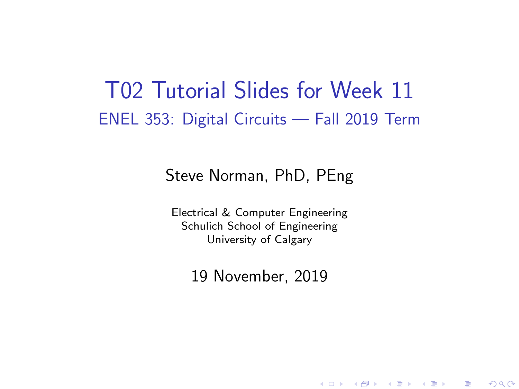### <span id="page-0-0"></span>T02 Tutorial Slides for Week 11 ENEL 353: Digital Circuits — Fall 2019 Term

### Steve Norman, PhD, PEng

Electrical & Computer Engineering Schulich School of Engineering University of Calgary

19 November, 2019

《 ロ 》 《 御 》 《 君 》 《 君 》 《 君

 $\Omega$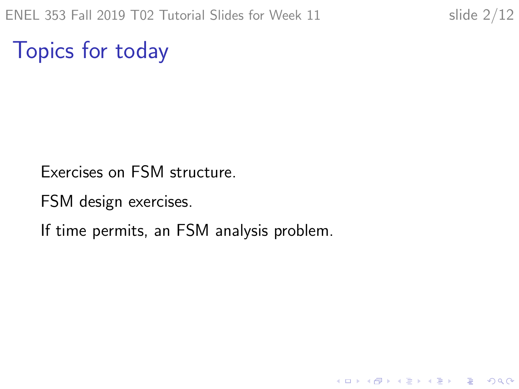K ロ ▶ K 個 ▶ K 할 ▶ K 할 ▶ 이 할 → 9 Q Q →

Topics for today

Exercises on FSM structure.

FSM design exercises.

If time permits, an FSM analysis problem.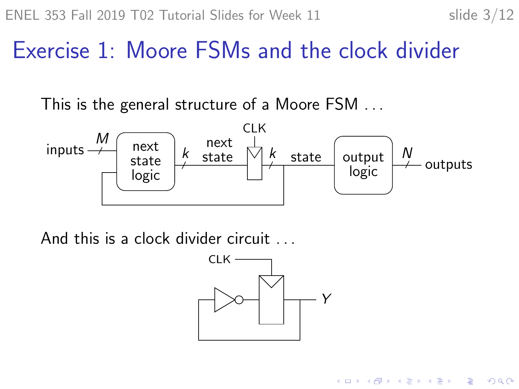$\mathbf{E} = \mathbf{A} \oplus \mathbf{B} + \mathbf{A} \oplus \mathbf{B} + \mathbf{A} \oplus \mathbf{B} + \mathbf{A} \oplus \mathbf{A}$ 

 $2990$ 

## Exercise 1: Moore FSMs and the clock divider

This is the general structure of a Moore FSM . . .



And this is a clock divider circuit . . .

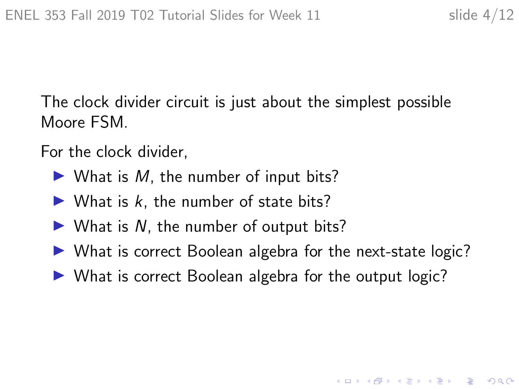K ロ ▶ K 個 ▶ K 할 ▶ K 할 ▶ 이 할 → 이익 @

The clock divider circuit is just about the simplest possible Moore FSM.

For the clock divider,

- $\blacktriangleright$  What is M, the number of input bits?
- $\blacktriangleright$  What is k, the number of state bits?
- $\triangleright$  What is N, the number of output bits?
- $\triangleright$  What is correct Boolean algebra for the next-state logic?
- $\triangleright$  What is correct Boolean algebra for the output logic?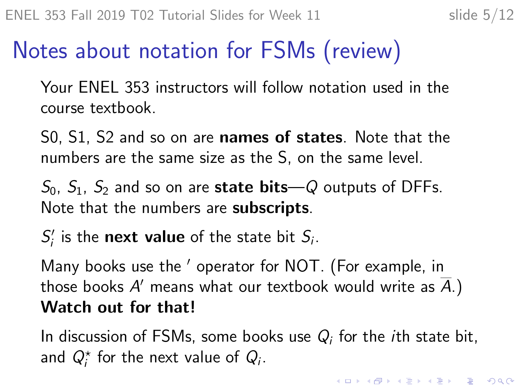# Notes about notation for FSMs (review)

Your ENEL 353 instructors will follow notation used in the course textbook.

S0, S1, S2 and so on are **names of states**. Note that the numbers are the same size as the S, on the same level.

 $S_0$ ,  $S_1$ ,  $S_2$  and so on are **state bits**—Q outputs of DFFs. Note that the numbers are **subscripts**.

 $S_i'$  is the **next value** of the state bit  $S_i$ .

Many books use the ' operator for NOT. (For example, in those books  $A'$  means what our textbook would write as  $\overline{A}$ .) Watch out for that!

In discussion of FSMs, some books use  $Q_i$  for the ith state bit, and  $Q_i^*$  for the next value of  $Q_i$ .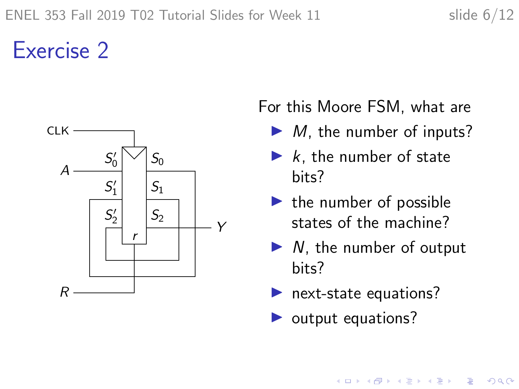## Exercise 2



For this Moore FSM, what are

- $\blacktriangleright$  *M*, the number of inputs?
- $\blacktriangleright$  k, the number of state bits?
- $\blacktriangleright$  the number of possible states of the machine?
- $\triangleright$  N, the number of output bits?

◆ロ→ ◆母→ ◆ミ→ ◆ミ→ → ミ

 $2990$ 

- $\blacktriangleright$  next-state equations?
- $\triangleright$  output equations?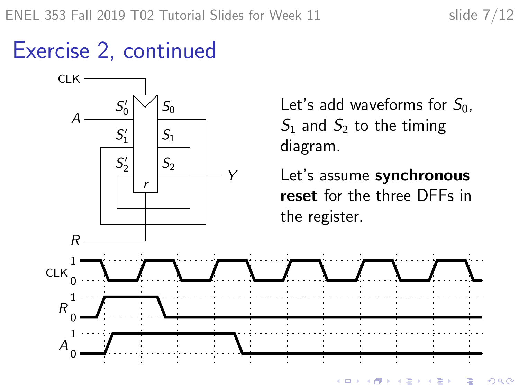### Exercise 2, continued



Let's add waveforms for  $S_0$ ,  $S_1$  and  $S_2$  to the timing

Let's assume synchronous reset for the three DFFs in the register.

> **←ロ ▶ → 伊 ▶ → ヨ ▶ → ヨ ▶**  $2Q$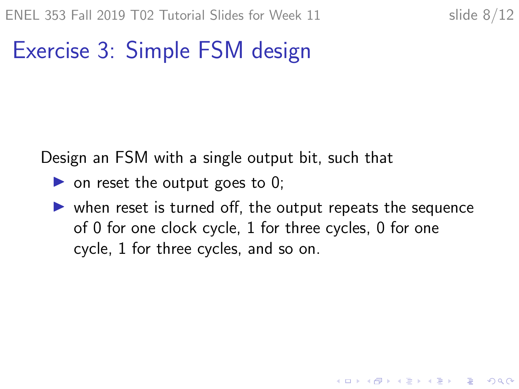**KORKARYKERKER POLO** 

# Exercise 3: Simple FSM design

Design an FSM with a single output bit, such that

- $\triangleright$  on reset the output goes to 0;
- $\triangleright$  when reset is turned off, the output repeats the sequence of 0 for one clock cycle, 1 for three cycles, 0 for one cycle, 1 for three cycles, and so on.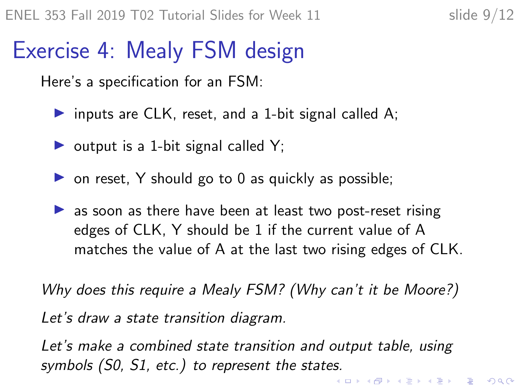## <span id="page-8-0"></span>Exercise 4: Mealy FSM design

Here's a specification for an FSM:

- inputs are CLK, reset, and a 1-bit signal called A;
- $\triangleright$  output is a 1-bit signal called Y;
- $\triangleright$  on reset, Y should go to 0 as quickly as possible;
- $\triangleright$  as soon as there have been at least two post-reset rising edges of CLK, Y should be 1 if the current value of A matches the value of A at the last two rising edges of CLK.

Why does this require a Mealy FSM? (Why can't it be Moore?) Let's draw a state transition diagram.

Let's make a combined state transition and output table, using symbols (S0, S1, etc.) to represent the states.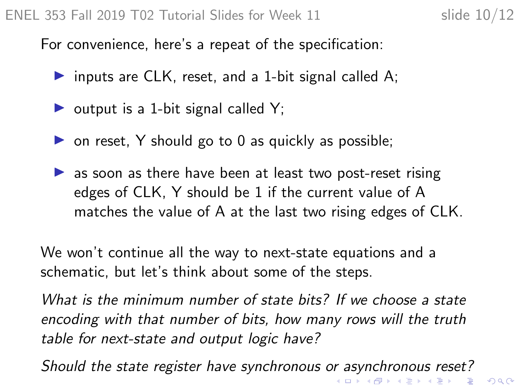<span id="page-9-0"></span>For convenience, here's a repeat of the specification:

- inputs are CLK, reset, and a 1-bit signal called A;
- $\triangleright$  output is a 1-bit signal called Y;
- $\triangleright$  on reset, Y should go to 0 as quickly as possible;
- $\triangleright$  as soon as there have been at least two post-reset rising edges of CLK, Y should be 1 if the current value of A matches the value of A at the last two rising edges of CLK.

We won't continue all the way to next-state equations and a schematic, but let's think about some of the steps.

What is the minimum number of state bits? If we choose a state encoding with that number of bits, how many rows will the truth table for next-state and output logic have?

Should the state register have synchronous [or a](#page-8-0)[sy](#page-10-0)[n](#page-8-0)[ch](#page-9-0)[r](#page-10-0)[on](#page-0-0)[ou](#page-11-0)[s r](#page-0-0)[es](#page-11-0)[et?](#page-0-0)<br>All the state register have synchronous or asynchronous reset?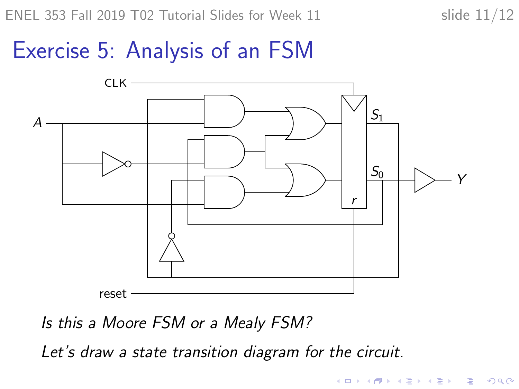**KORK ERKER ADAM ADA** 

### <span id="page-10-0"></span>Exercise 5: Analysis of an FSM



Is this a Moore FSM or a Mealy FSM?

Let's draw a state transition diagram for the circuit.